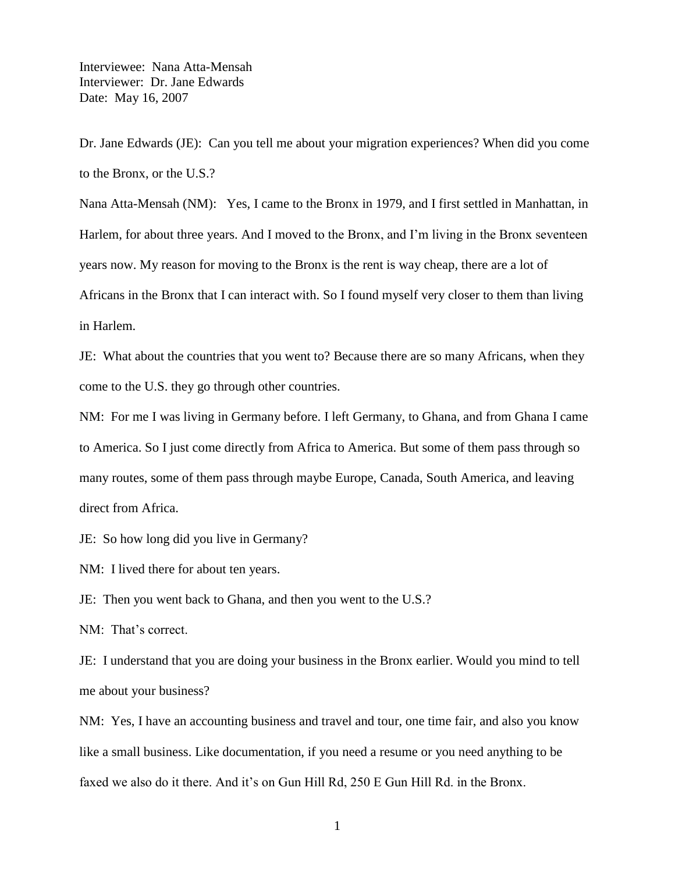Interviewee: Nana Atta-Mensah Interviewer: Dr. Jane Edwards Date: May 16, 2007

Dr. Jane Edwards (JE): Can you tell me about your migration experiences? When did you come to the Bronx, or the U.S.?

Nana Atta-Mensah (NM): Yes, I came to the Bronx in 1979, and I first settled in Manhattan, in Harlem, for about three years. And I moved to the Bronx, and I'm living in the Bronx seventeen years now. My reason for moving to the Bronx is the rent is way cheap, there are a lot of Africans in the Bronx that I can interact with. So I found myself very closer to them than living in Harlem.

JE: What about the countries that you went to? Because there are so many Africans, when they come to the U.S. they go through other countries.

NM: For me I was living in Germany before. I left Germany, to Ghana, and from Ghana I came to America. So I just come directly from Africa to America. But some of them pass through so many routes, some of them pass through maybe Europe, Canada, South America, and leaving direct from Africa.

JE: So how long did you live in Germany?

NM: I lived there for about ten years.

JE: Then you went back to Ghana, and then you went to the U.S.?

NM: That's correct.

JE: I understand that you are doing your business in the Bronx earlier. Would you mind to tell me about your business?

NM: Yes, I have an accounting business and travel and tour, one time fair, and also you know like a small business. Like documentation, if you need a resume or you need anything to be faxed we also do it there. And it's on Gun Hill Rd, 250 E Gun Hill Rd. in the Bronx.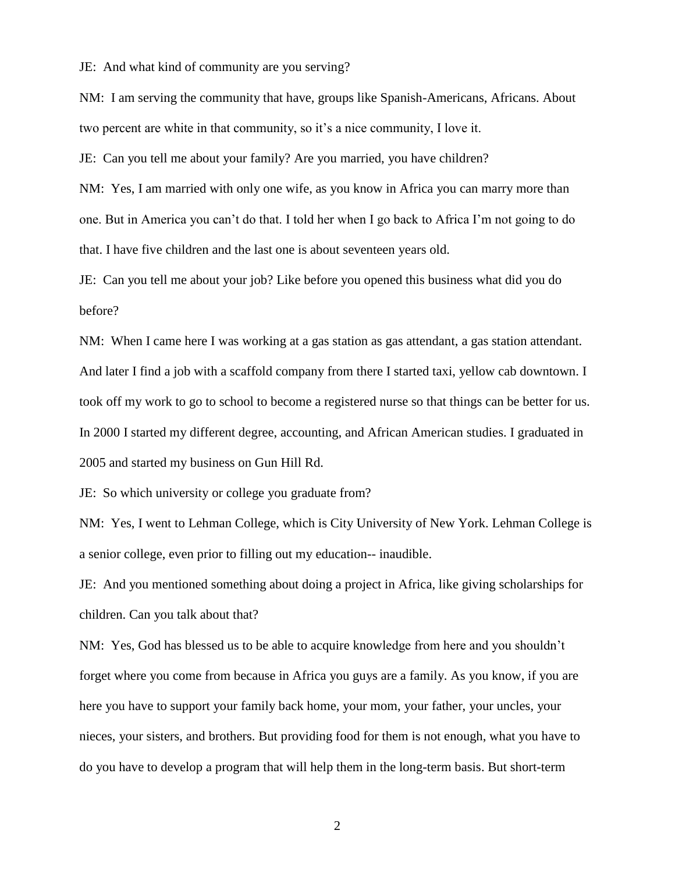JE: And what kind of community are you serving?

NM: I am serving the community that have, groups like Spanish-Americans, Africans. About two percent are white in that community, so it's a nice community, I love it.

JE: Can you tell me about your family? Are you married, you have children?

NM: Yes, I am married with only one wife, as you know in Africa you can marry more than one. But in America you can't do that. I told her when I go back to Africa I'm not going to do that. I have five children and the last one is about seventeen years old.

JE: Can you tell me about your job? Like before you opened this business what did you do before?

NM: When I came here I was working at a gas station as gas attendant, a gas station attendant. And later I find a job with a scaffold company from there I started taxi, yellow cab downtown. I took off my work to go to school to become a registered nurse so that things can be better for us. In 2000 I started my different degree, accounting, and African American studies. I graduated in 2005 and started my business on Gun Hill Rd.

JE: So which university or college you graduate from?

NM: Yes, I went to Lehman College, which is City University of New York. Lehman College is a senior college, even prior to filling out my education-- inaudible.

JE: And you mentioned something about doing a project in Africa, like giving scholarships for children. Can you talk about that?

NM: Yes, God has blessed us to be able to acquire knowledge from here and you shouldn't forget where you come from because in Africa you guys are a family. As you know, if you are here you have to support your family back home, your mom, your father, your uncles, your nieces, your sisters, and brothers. But providing food for them is not enough, what you have to do you have to develop a program that will help them in the long-term basis. But short-term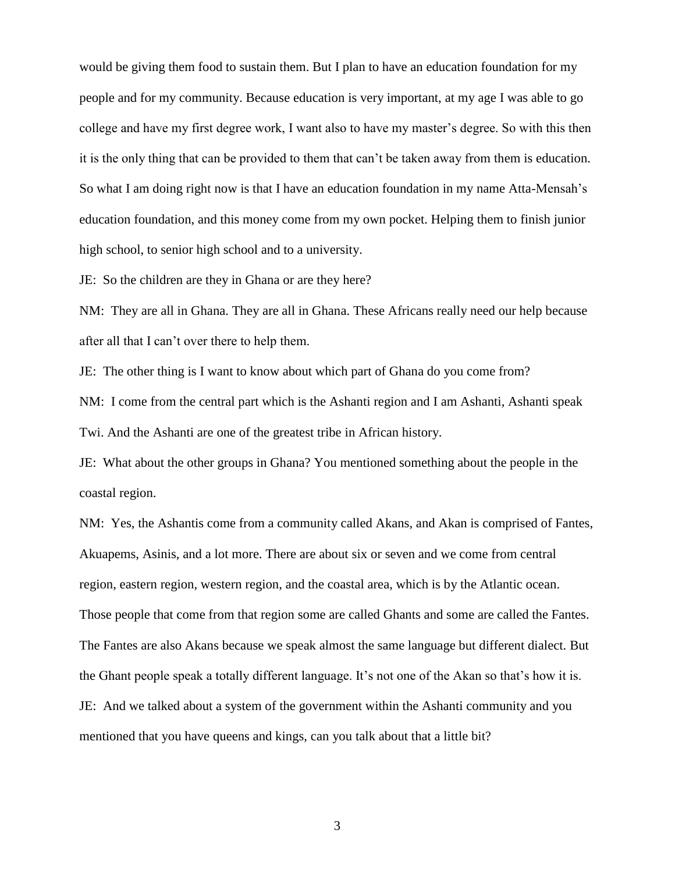would be giving them food to sustain them. But I plan to have an education foundation for my people and for my community. Because education is very important, at my age I was able to go college and have my first degree work, I want also to have my master's degree. So with this then it is the only thing that can be provided to them that can't be taken away from them is education. So what I am doing right now is that I have an education foundation in my name Atta-Mensah's education foundation, and this money come from my own pocket. Helping them to finish junior high school, to senior high school and to a university.

JE: So the children are they in Ghana or are they here?

NM: They are all in Ghana. They are all in Ghana. These Africans really need our help because after all that I can't over there to help them.

JE: The other thing is I want to know about which part of Ghana do you come from?

NM: I come from the central part which is the Ashanti region and I am Ashanti, Ashanti speak Twi. And the Ashanti are one of the greatest tribe in African history.

JE: What about the other groups in Ghana? You mentioned something about the people in the coastal region.

NM: Yes, the Ashantis come from a community called Akans, and Akan is comprised of Fantes, Akuapems, Asinis, and a lot more. There are about six or seven and we come from central region, eastern region, western region, and the coastal area, which is by the Atlantic ocean. Those people that come from that region some are called Ghants and some are called the Fantes. The Fantes are also Akans because we speak almost the same language but different dialect. But the Ghant people speak a totally different language. It's not one of the Akan so that's how it is. JE: And we talked about a system of the government within the Ashanti community and you mentioned that you have queens and kings, can you talk about that a little bit?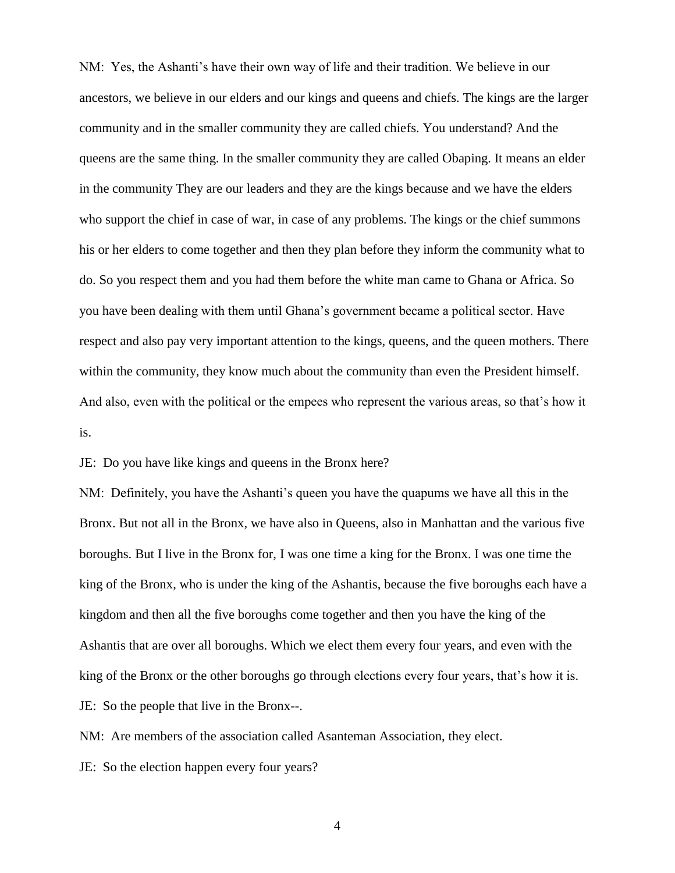NM: Yes, the Ashanti's have their own way of life and their tradition. We believe in our ancestors, we believe in our elders and our kings and queens and chiefs. The kings are the larger community and in the smaller community they are called chiefs. You understand? And the queens are the same thing. In the smaller community they are called Obaping. It means an elder in the community They are our leaders and they are the kings because and we have the elders who support the chief in case of war, in case of any problems. The kings or the chief summons his or her elders to come together and then they plan before they inform the community what to do. So you respect them and you had them before the white man came to Ghana or Africa. So you have been dealing with them until Ghana's government became a political sector. Have respect and also pay very important attention to the kings, queens, and the queen mothers. There within the community, they know much about the community than even the President himself. And also, even with the political or the empees who represent the various areas, so that's how it is.

JE: Do you have like kings and queens in the Bronx here?

NM: Definitely, you have the Ashanti's queen you have the quapums we have all this in the Bronx. But not all in the Bronx, we have also in Queens, also in Manhattan and the various five boroughs. But I live in the Bronx for, I was one time a king for the Bronx. I was one time the king of the Bronx, who is under the king of the Ashantis, because the five boroughs each have a kingdom and then all the five boroughs come together and then you have the king of the Ashantis that are over all boroughs. Which we elect them every four years, and even with the king of the Bronx or the other boroughs go through elections every four years, that's how it is. JE: So the people that live in the Bronx--.

NM: Are members of the association called Asanteman Association, they elect.

JE: So the election happen every four years?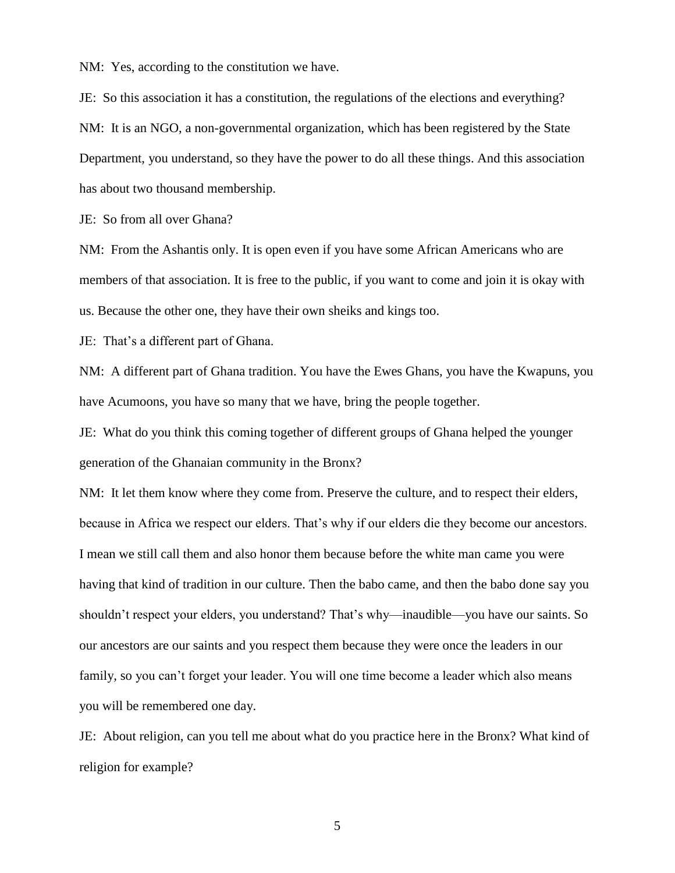NM: Yes, according to the constitution we have.

JE: So this association it has a constitution, the regulations of the elections and everything? NM: It is an NGO, a non-governmental organization, which has been registered by the State Department, you understand, so they have the power to do all these things. And this association has about two thousand membership.

JE: So from all over Ghana?

NM: From the Ashantis only. It is open even if you have some African Americans who are members of that association. It is free to the public, if you want to come and join it is okay with us. Because the other one, they have their own sheiks and kings too.

JE: That's a different part of Ghana.

NM: A different part of Ghana tradition. You have the Ewes Ghans, you have the Kwapuns, you have Acumoons, you have so many that we have, bring the people together.

JE: What do you think this coming together of different groups of Ghana helped the younger generation of the Ghanaian community in the Bronx?

NM: It let them know where they come from. Preserve the culture, and to respect their elders, because in Africa we respect our elders. That's why if our elders die they become our ancestors. I mean we still call them and also honor them because before the white man came you were having that kind of tradition in our culture. Then the babo came, and then the babo done say you shouldn't respect your elders, you understand? That's why—inaudible—you have our saints. So our ancestors are our saints and you respect them because they were once the leaders in our family, so you can't forget your leader. You will one time become a leader which also means you will be remembered one day.

JE: About religion, can you tell me about what do you practice here in the Bronx? What kind of religion for example?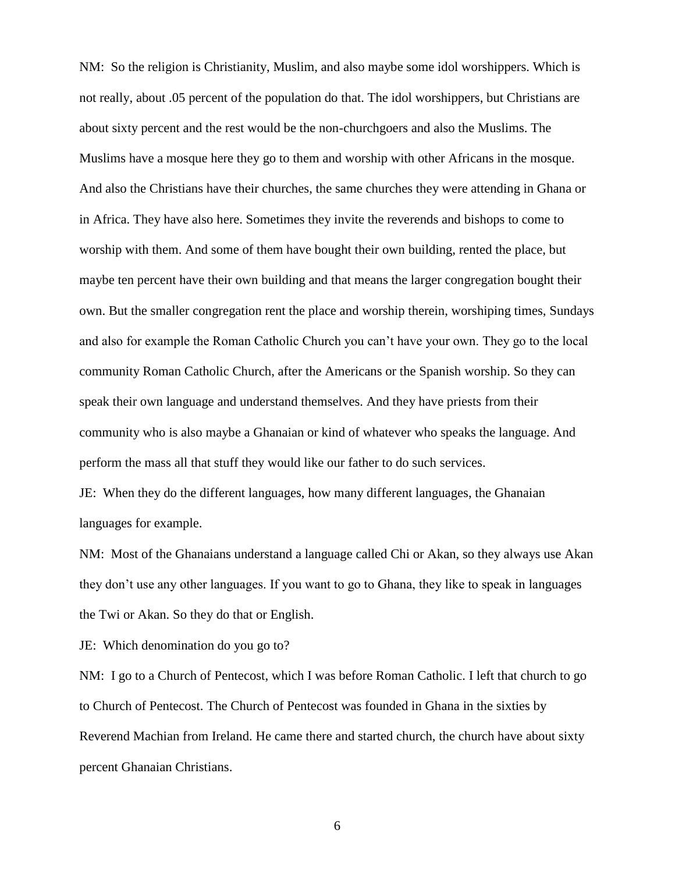NM: So the religion is Christianity, Muslim, and also maybe some idol worshippers. Which is not really, about .05 percent of the population do that. The idol worshippers, but Christians are about sixty percent and the rest would be the non-churchgoers and also the Muslims. The Muslims have a mosque here they go to them and worship with other Africans in the mosque. And also the Christians have their churches, the same churches they were attending in Ghana or in Africa. They have also here. Sometimes they invite the reverends and bishops to come to worship with them. And some of them have bought their own building, rented the place, but maybe ten percent have their own building and that means the larger congregation bought their own. But the smaller congregation rent the place and worship therein, worshiping times, Sundays and also for example the Roman Catholic Church you can't have your own. They go to the local community Roman Catholic Church, after the Americans or the Spanish worship. So they can speak their own language and understand themselves. And they have priests from their community who is also maybe a Ghanaian or kind of whatever who speaks the language. And perform the mass all that stuff they would like our father to do such services.

JE: When they do the different languages, how many different languages, the Ghanaian languages for example.

NM: Most of the Ghanaians understand a language called Chi or Akan, so they always use Akan they don't use any other languages. If you want to go to Ghana, they like to speak in languages the Twi or Akan. So they do that or English.

JE: Which denomination do you go to?

NM: I go to a Church of Pentecost, which I was before Roman Catholic. I left that church to go to Church of Pentecost. The Church of Pentecost was founded in Ghana in the sixties by Reverend Machian from Ireland. He came there and started church, the church have about sixty percent Ghanaian Christians.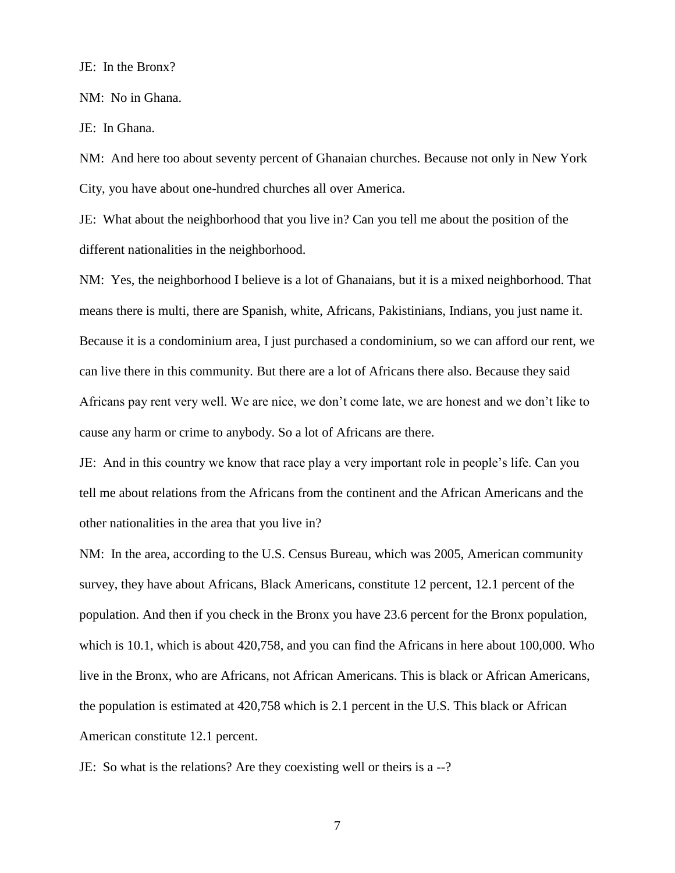JE: In the Bronx?

NM: No in Ghana.

JE: In Ghana.

NM: And here too about seventy percent of Ghanaian churches. Because not only in New York City, you have about one-hundred churches all over America.

JE: What about the neighborhood that you live in? Can you tell me about the position of the different nationalities in the neighborhood.

NM: Yes, the neighborhood I believe is a lot of Ghanaians, but it is a mixed neighborhood. That means there is multi, there are Spanish, white, Africans, Pakistinians, Indians, you just name it. Because it is a condominium area, I just purchased a condominium, so we can afford our rent, we can live there in this community. But there are a lot of Africans there also. Because they said Africans pay rent very well. We are nice, we don't come late, we are honest and we don't like to cause any harm or crime to anybody. So a lot of Africans are there.

JE: And in this country we know that race play a very important role in people's life. Can you tell me about relations from the Africans from the continent and the African Americans and the other nationalities in the area that you live in?

NM: In the area, according to the U.S. Census Bureau, which was 2005, American community survey, they have about Africans, Black Americans, constitute 12 percent, 12.1 percent of the population. And then if you check in the Bronx you have 23.6 percent for the Bronx population, which is 10.1, which is about 420,758, and you can find the Africans in here about 100,000. Who live in the Bronx, who are Africans, not African Americans. This is black or African Americans, the population is estimated at 420,758 which is 2.1 percent in the U.S. This black or African American constitute 12.1 percent.

JE: So what is the relations? Are they coexisting well or theirs is a --?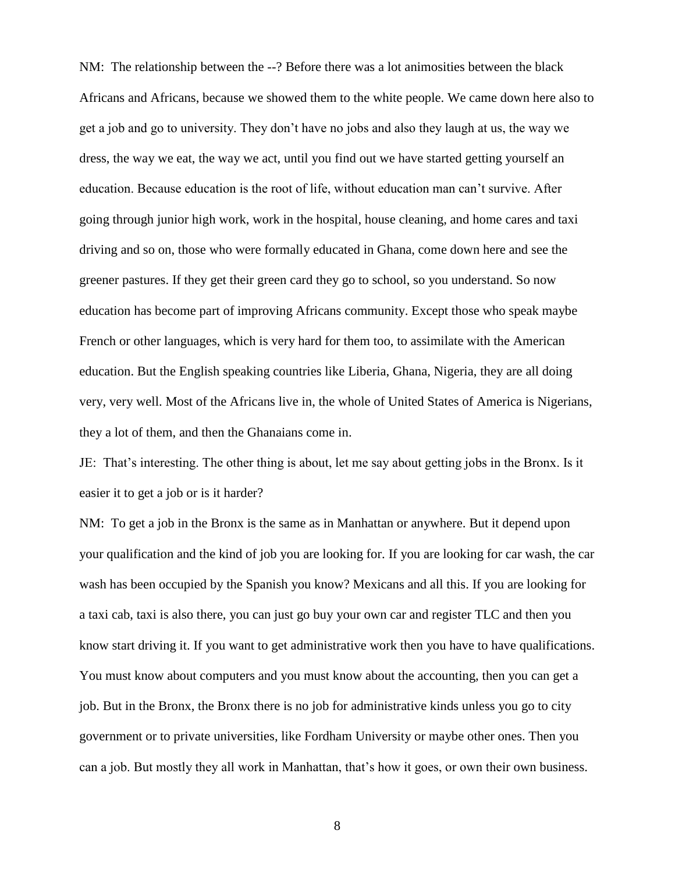NM: The relationship between the --? Before there was a lot animosities between the black Africans and Africans, because we showed them to the white people. We came down here also to get a job and go to university. They don't have no jobs and also they laugh at us, the way we dress, the way we eat, the way we act, until you find out we have started getting yourself an education. Because education is the root of life, without education man can't survive. After going through junior high work, work in the hospital, house cleaning, and home cares and taxi driving and so on, those who were formally educated in Ghana, come down here and see the greener pastures. If they get their green card they go to school, so you understand. So now education has become part of improving Africans community. Except those who speak maybe French or other languages, which is very hard for them too, to assimilate with the American education. But the English speaking countries like Liberia, Ghana, Nigeria, they are all doing very, very well. Most of the Africans live in, the whole of United States of America is Nigerians, they a lot of them, and then the Ghanaians come in.

JE: That's interesting. The other thing is about, let me say about getting jobs in the Bronx. Is it easier it to get a job or is it harder?

NM: To get a job in the Bronx is the same as in Manhattan or anywhere. But it depend upon your qualification and the kind of job you are looking for. If you are looking for car wash, the car wash has been occupied by the Spanish you know? Mexicans and all this. If you are looking for a taxi cab, taxi is also there, you can just go buy your own car and register TLC and then you know start driving it. If you want to get administrative work then you have to have qualifications. You must know about computers and you must know about the accounting, then you can get a job. But in the Bronx, the Bronx there is no job for administrative kinds unless you go to city government or to private universities, like Fordham University or maybe other ones. Then you can a job. But mostly they all work in Manhattan, that's how it goes, or own their own business.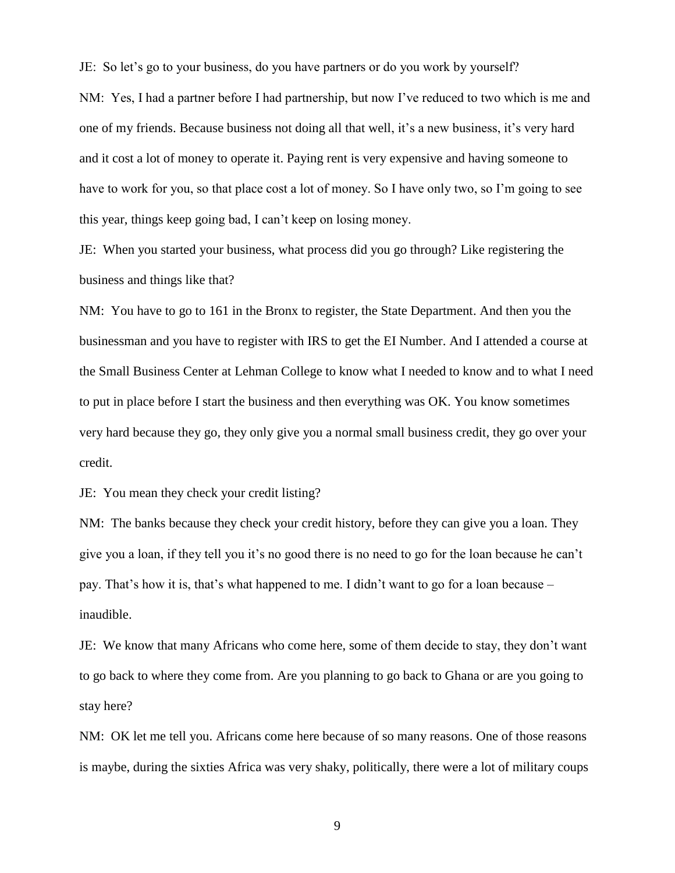JE: So let's go to your business, do you have partners or do you work by yourself?

NM: Yes, I had a partner before I had partnership, but now I've reduced to two which is me and one of my friends. Because business not doing all that well, it's a new business, it's very hard and it cost a lot of money to operate it. Paying rent is very expensive and having someone to have to work for you, so that place cost a lot of money. So I have only two, so I'm going to see this year, things keep going bad, I can't keep on losing money.

JE: When you started your business, what process did you go through? Like registering the business and things like that?

NM: You have to go to 161 in the Bronx to register, the State Department. And then you the businessman and you have to register with IRS to get the EI Number. And I attended a course at the Small Business Center at Lehman College to know what I needed to know and to what I need to put in place before I start the business and then everything was OK. You know sometimes very hard because they go, they only give you a normal small business credit, they go over your credit.

JE: You mean they check your credit listing?

NM: The banks because they check your credit history, before they can give you a loan. They give you a loan, if they tell you it's no good there is no need to go for the loan because he can't pay. That's how it is, that's what happened to me. I didn't want to go for a loan because – inaudible.

JE: We know that many Africans who come here, some of them decide to stay, they don't want to go back to where they come from. Are you planning to go back to Ghana or are you going to stay here?

NM: OK let me tell you. Africans come here because of so many reasons. One of those reasons is maybe, during the sixties Africa was very shaky, politically, there were a lot of military coups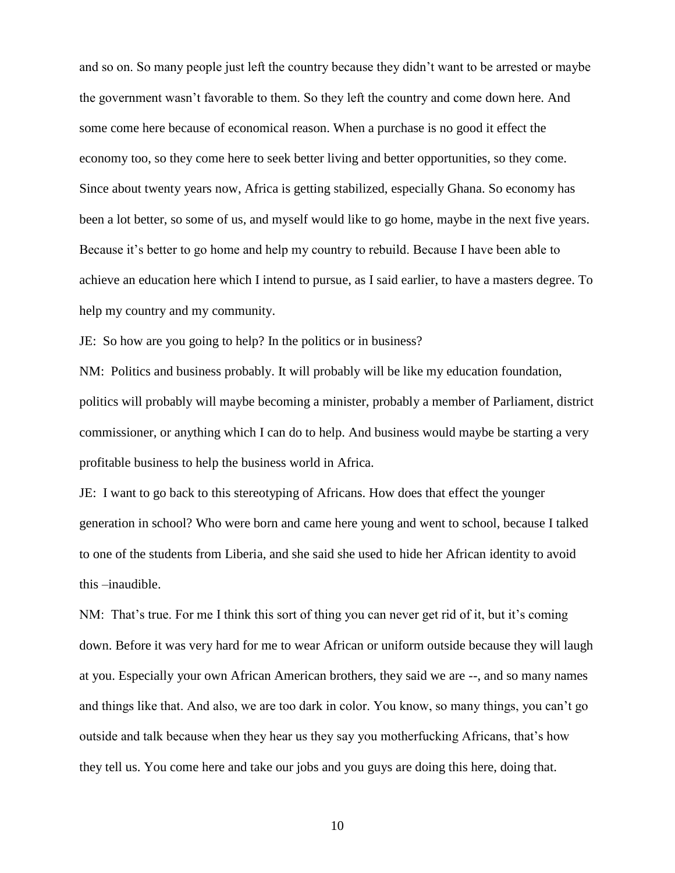and so on. So many people just left the country because they didn't want to be arrested or maybe the government wasn't favorable to them. So they left the country and come down here. And some come here because of economical reason. When a purchase is no good it effect the economy too, so they come here to seek better living and better opportunities, so they come. Since about twenty years now, Africa is getting stabilized, especially Ghana. So economy has been a lot better, so some of us, and myself would like to go home, maybe in the next five years. Because it's better to go home and help my country to rebuild. Because I have been able to achieve an education here which I intend to pursue, as I said earlier, to have a masters degree. To help my country and my community.

JE: So how are you going to help? In the politics or in business?

NM: Politics and business probably. It will probably will be like my education foundation, politics will probably will maybe becoming a minister, probably a member of Parliament, district commissioner, or anything which I can do to help. And business would maybe be starting a very profitable business to help the business world in Africa.

JE: I want to go back to this stereotyping of Africans. How does that effect the younger generation in school? Who were born and came here young and went to school, because I talked to one of the students from Liberia, and she said she used to hide her African identity to avoid this –inaudible.

NM: That's true. For me I think this sort of thing you can never get rid of it, but it's coming down. Before it was very hard for me to wear African or uniform outside because they will laugh at you. Especially your own African American brothers, they said we are --, and so many names and things like that. And also, we are too dark in color. You know, so many things, you can't go outside and talk because when they hear us they say you motherfucking Africans, that's how they tell us. You come here and take our jobs and you guys are doing this here, doing that.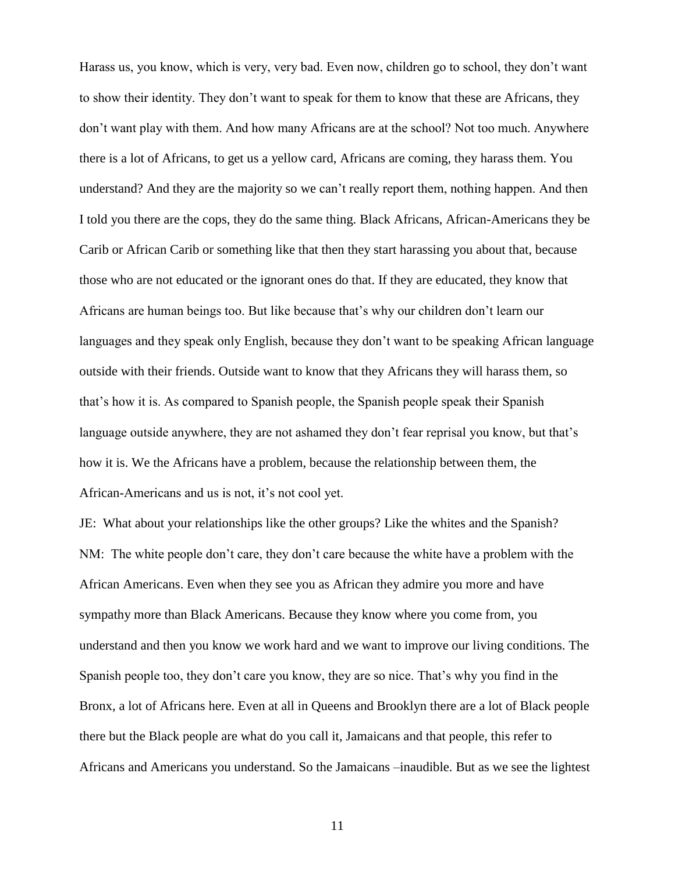Harass us, you know, which is very, very bad. Even now, children go to school, they don't want to show their identity. They don't want to speak for them to know that these are Africans, they don't want play with them. And how many Africans are at the school? Not too much. Anywhere there is a lot of Africans, to get us a yellow card, Africans are coming, they harass them. You understand? And they are the majority so we can't really report them, nothing happen. And then I told you there are the cops, they do the same thing. Black Africans, African-Americans they be Carib or African Carib or something like that then they start harassing you about that, because those who are not educated or the ignorant ones do that. If they are educated, they know that Africans are human beings too. But like because that's why our children don't learn our languages and they speak only English, because they don't want to be speaking African language outside with their friends. Outside want to know that they Africans they will harass them, so that's how it is. As compared to Spanish people, the Spanish people speak their Spanish language outside anywhere, they are not ashamed they don't fear reprisal you know, but that's how it is. We the Africans have a problem, because the relationship between them, the African-Americans and us is not, it's not cool yet.

JE: What about your relationships like the other groups? Like the whites and the Spanish? NM: The white people don't care, they don't care because the white have a problem with the African Americans. Even when they see you as African they admire you more and have sympathy more than Black Americans. Because they know where you come from, you understand and then you know we work hard and we want to improve our living conditions. The Spanish people too, they don't care you know, they are so nice. That's why you find in the Bronx, a lot of Africans here. Even at all in Queens and Brooklyn there are a lot of Black people there but the Black people are what do you call it, Jamaicans and that people, this refer to Africans and Americans you understand. So the Jamaicans –inaudible. But as we see the lightest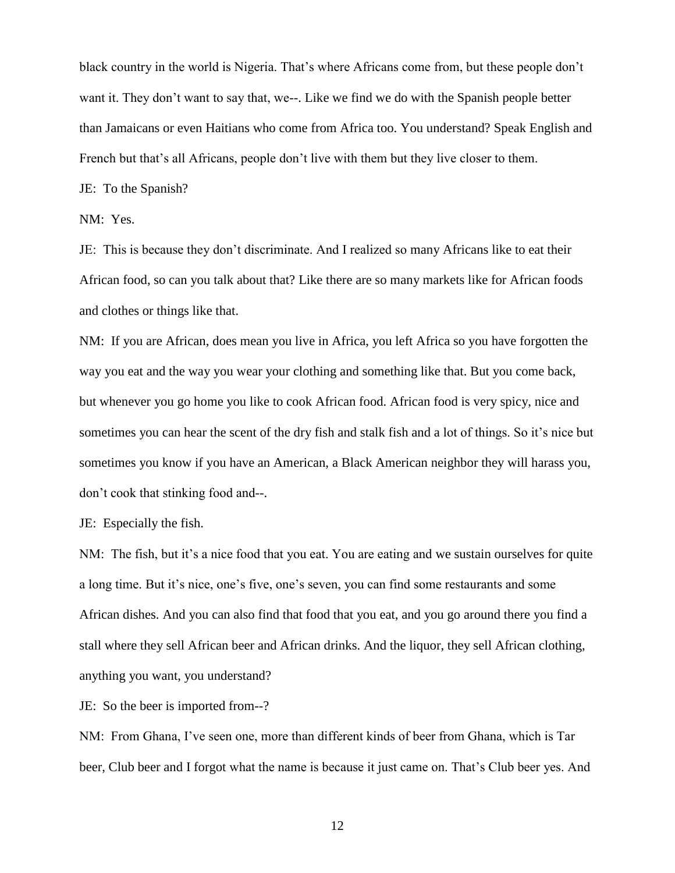black country in the world is Nigeria. That's where Africans come from, but these people don't want it. They don't want to say that, we--. Like we find we do with the Spanish people better than Jamaicans or even Haitians who come from Africa too. You understand? Speak English and French but that's all Africans, people don't live with them but they live closer to them.

JE: To the Spanish?

NM: Yes.

JE: This is because they don't discriminate. And I realized so many Africans like to eat their African food, so can you talk about that? Like there are so many markets like for African foods and clothes or things like that.

NM: If you are African, does mean you live in Africa, you left Africa so you have forgotten the way you eat and the way you wear your clothing and something like that. But you come back, but whenever you go home you like to cook African food. African food is very spicy, nice and sometimes you can hear the scent of the dry fish and stalk fish and a lot of things. So it's nice but sometimes you know if you have an American, a Black American neighbor they will harass you, don't cook that stinking food and--.

JE: Especially the fish.

NM: The fish, but it's a nice food that you eat. You are eating and we sustain ourselves for quite a long time. But it's nice, one's five, one's seven, you can find some restaurants and some African dishes. And you can also find that food that you eat, and you go around there you find a stall where they sell African beer and African drinks. And the liquor, they sell African clothing, anything you want, you understand?

JE: So the beer is imported from--?

NM: From Ghana, I've seen one, more than different kinds of beer from Ghana, which is Tar beer, Club beer and I forgot what the name is because it just came on. That's Club beer yes. And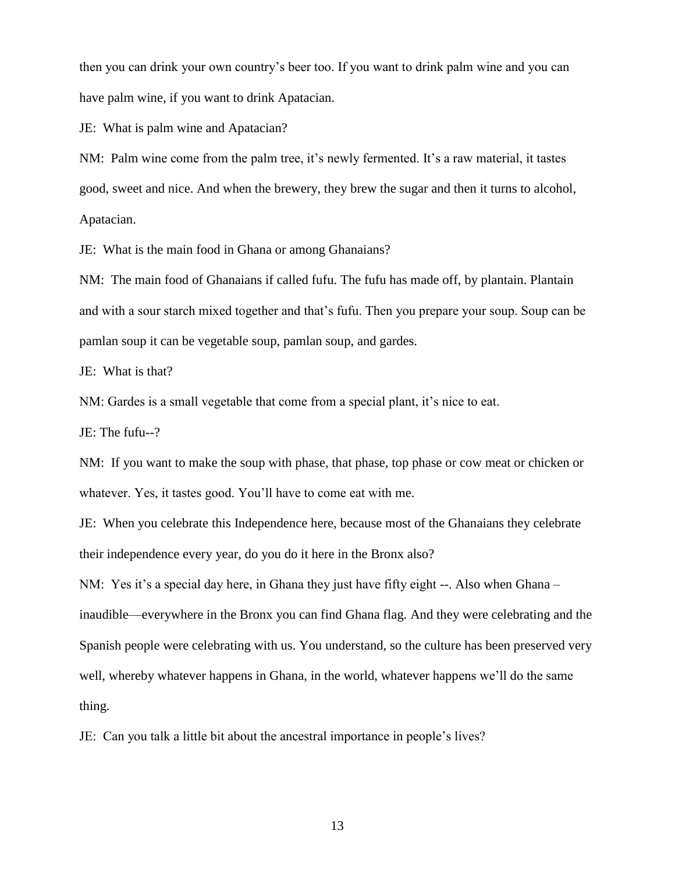then you can drink your own country's beer too. If you want to drink palm wine and you can have palm wine, if you want to drink Apatacian.

JE: What is palm wine and Apatacian?

NM: Palm wine come from the palm tree, it's newly fermented. It's a raw material, it tastes good, sweet and nice. And when the brewery, they brew the sugar and then it turns to alcohol, Apatacian.

JE: What is the main food in Ghana or among Ghanaians?

NM: The main food of Ghanaians if called fufu. The fufu has made off, by plantain. Plantain and with a sour starch mixed together and that's fufu. Then you prepare your soup. Soup can be pamlan soup it can be vegetable soup, pamlan soup, and gardes.

JE: What is that?

NM: Gardes is a small vegetable that come from a special plant, it's nice to eat.

JE: The fufu--?

NM: If you want to make the soup with phase, that phase, top phase or cow meat or chicken or whatever. Yes, it tastes good. You'll have to come eat with me.

JE: When you celebrate this Independence here, because most of the Ghanaians they celebrate their independence every year, do you do it here in the Bronx also?

NM: Yes it's a special day here, in Ghana they just have fifty eight --. Also when Ghana – inaudible—everywhere in the Bronx you can find Ghana flag. And they were celebrating and the Spanish people were celebrating with us. You understand, so the culture has been preserved very well, whereby whatever happens in Ghana, in the world, whatever happens we'll do the same thing.

JE: Can you talk a little bit about the ancestral importance in people's lives?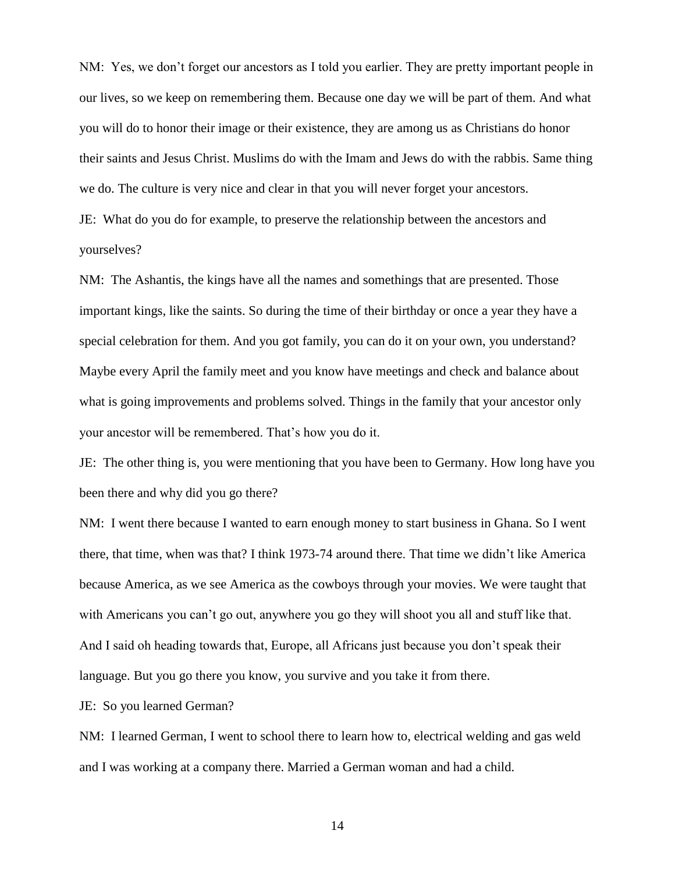NM: Yes, we don't forget our ancestors as I told you earlier. They are pretty important people in our lives, so we keep on remembering them. Because one day we will be part of them. And what you will do to honor their image or their existence, they are among us as Christians do honor their saints and Jesus Christ. Muslims do with the Imam and Jews do with the rabbis. Same thing we do. The culture is very nice and clear in that you will never forget your ancestors.

JE: What do you do for example, to preserve the relationship between the ancestors and yourselves?

NM: The Ashantis, the kings have all the names and somethings that are presented. Those important kings, like the saints. So during the time of their birthday or once a year they have a special celebration for them. And you got family, you can do it on your own, you understand? Maybe every April the family meet and you know have meetings and check and balance about what is going improvements and problems solved. Things in the family that your ancestor only your ancestor will be remembered. That's how you do it.

JE: The other thing is, you were mentioning that you have been to Germany. How long have you been there and why did you go there?

NM: I went there because I wanted to earn enough money to start business in Ghana. So I went there, that time, when was that? I think 1973-74 around there. That time we didn't like America because America, as we see America as the cowboys through your movies. We were taught that with Americans you can't go out, anywhere you go they will shoot you all and stuff like that. And I said oh heading towards that, Europe, all Africans just because you don't speak their language. But you go there you know, you survive and you take it from there.

JE: So you learned German?

NM: I learned German, I went to school there to learn how to, electrical welding and gas weld and I was working at a company there. Married a German woman and had a child.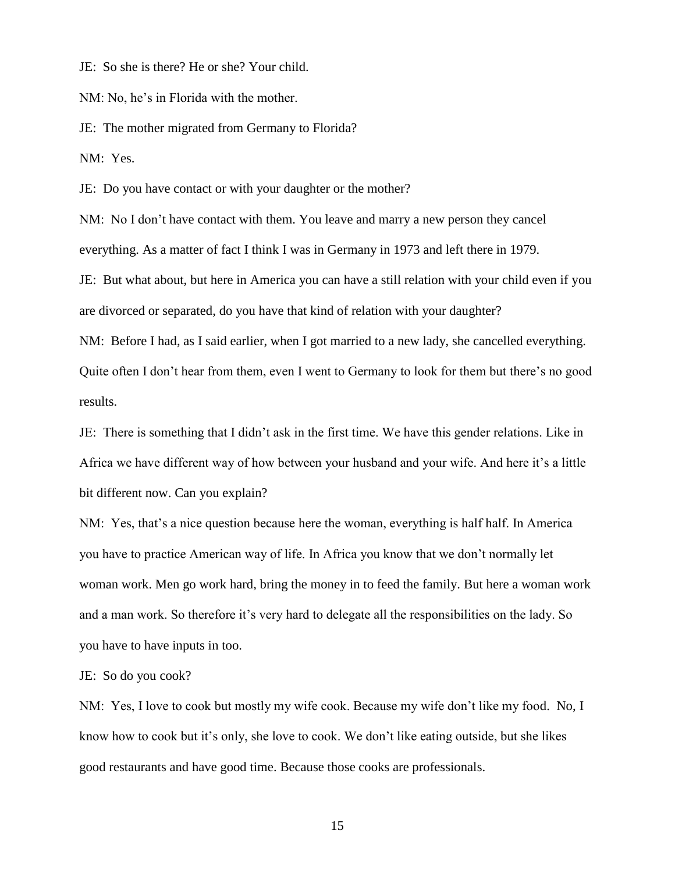JE: So she is there? He or she? Your child.

NM: No, he's in Florida with the mother.

JE: The mother migrated from Germany to Florida?

NM: Yes.

JE: Do you have contact or with your daughter or the mother?

NM: No I don't have contact with them. You leave and marry a new person they cancel everything. As a matter of fact I think I was in Germany in 1973 and left there in 1979. JE: But what about, but here in America you can have a still relation with your child even if you are divorced or separated, do you have that kind of relation with your daughter?

NM: Before I had, as I said earlier, when I got married to a new lady, she cancelled everything. Quite often I don't hear from them, even I went to Germany to look for them but there's no good results.

JE: There is something that I didn't ask in the first time. We have this gender relations. Like in Africa we have different way of how between your husband and your wife. And here it's a little bit different now. Can you explain?

NM: Yes, that's a nice question because here the woman, everything is half half. In America you have to practice American way of life. In Africa you know that we don't normally let woman work. Men go work hard, bring the money in to feed the family. But here a woman work and a man work. So therefore it's very hard to delegate all the responsibilities on the lady. So you have to have inputs in too.

JE: So do you cook?

NM: Yes, I love to cook but mostly my wife cook. Because my wife don't like my food. No, I know how to cook but it's only, she love to cook. We don't like eating outside, but she likes good restaurants and have good time. Because those cooks are professionals.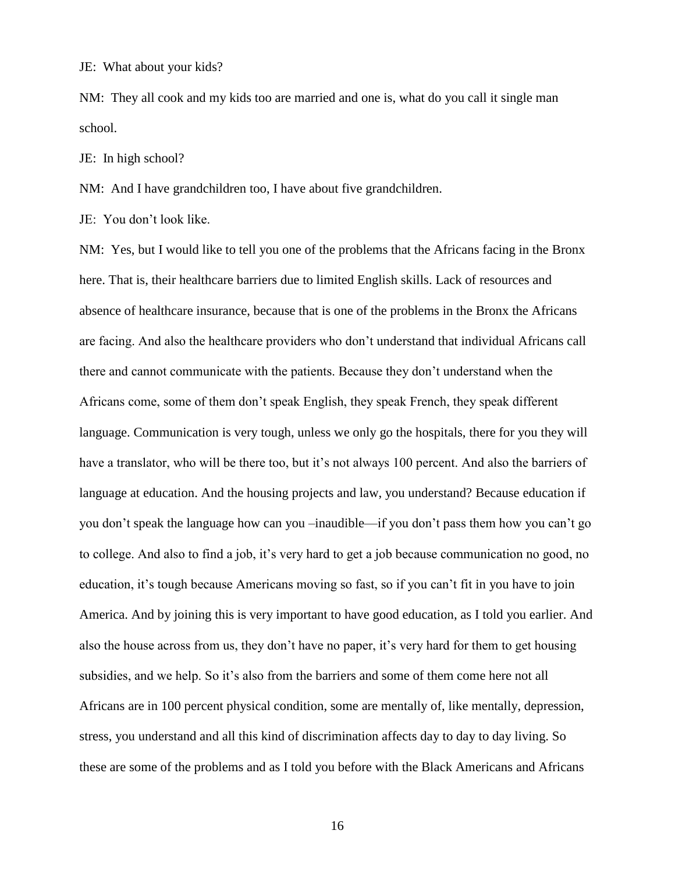JE: What about your kids?

NM: They all cook and my kids too are married and one is, what do you call it single man school.

JE: In high school?

NM: And I have grandchildren too, I have about five grandchildren.

JE: You don't look like.

NM: Yes, but I would like to tell you one of the problems that the Africans facing in the Bronx here. That is, their healthcare barriers due to limited English skills. Lack of resources and absence of healthcare insurance, because that is one of the problems in the Bronx the Africans are facing. And also the healthcare providers who don't understand that individual Africans call there and cannot communicate with the patients. Because they don't understand when the Africans come, some of them don't speak English, they speak French, they speak different language. Communication is very tough, unless we only go the hospitals, there for you they will have a translator, who will be there too, but it's not always 100 percent. And also the barriers of language at education. And the housing projects and law, you understand? Because education if you don't speak the language how can you –inaudible—if you don't pass them how you can't go to college. And also to find a job, it's very hard to get a job because communication no good, no education, it's tough because Americans moving so fast, so if you can't fit in you have to join America. And by joining this is very important to have good education, as I told you earlier. And also the house across from us, they don't have no paper, it's very hard for them to get housing subsidies, and we help. So it's also from the barriers and some of them come here not all Africans are in 100 percent physical condition, some are mentally of, like mentally, depression, stress, you understand and all this kind of discrimination affects day to day to day living. So these are some of the problems and as I told you before with the Black Americans and Africans